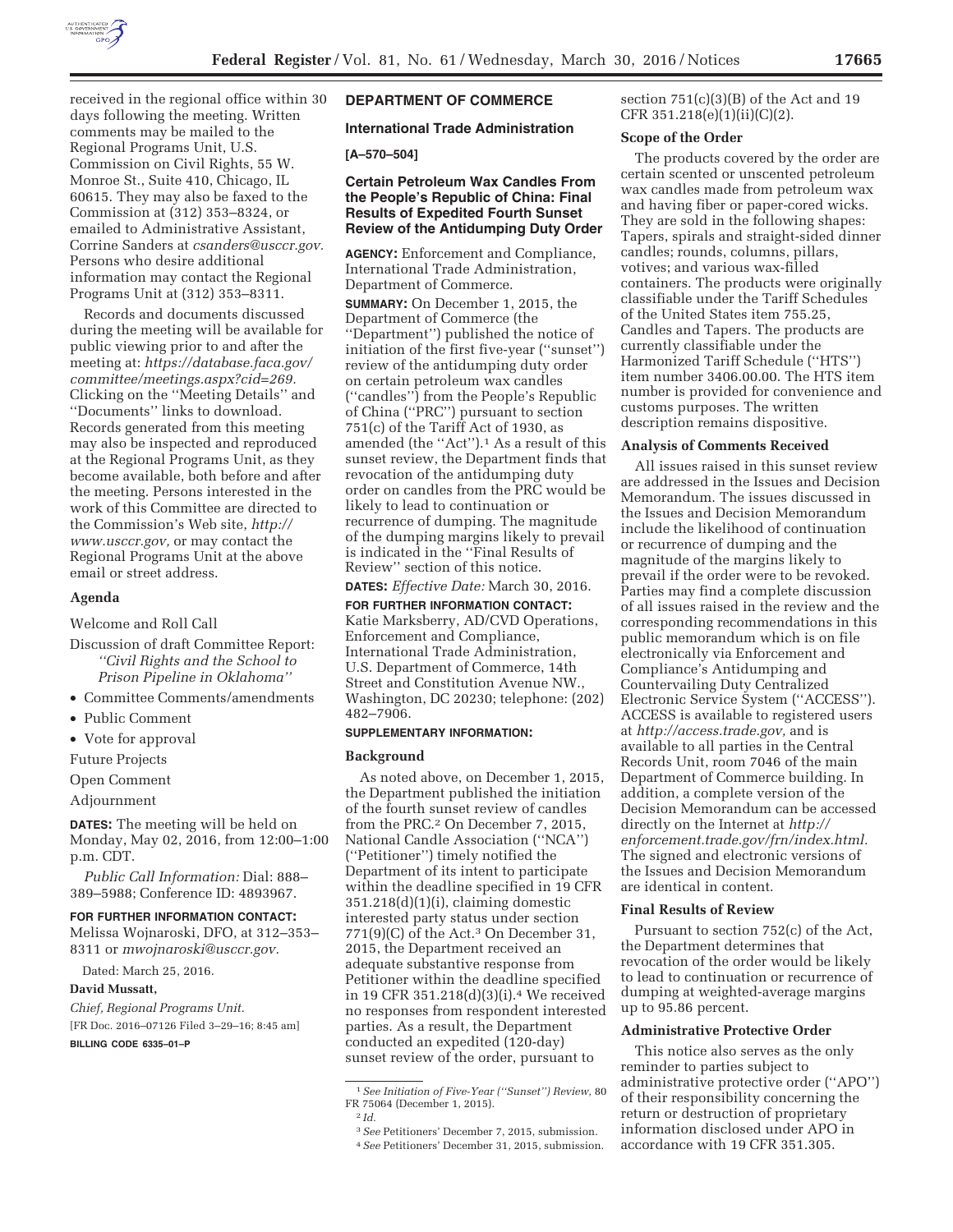

received in the regional office within 30 days following the meeting. Written comments may be mailed to the Regional Programs Unit, U.S. Commission on Civil Rights, 55 W. Monroe St., Suite 410, Chicago, IL 60615. They may also be faxed to the Commission at (312) 353–8324, or emailed to Administrative Assistant, Corrine Sanders at *csanders@usccr.gov.*  Persons who desire additional information may contact the Regional Programs Unit at (312) 353–8311.

Records and documents discussed during the meeting will be available for public viewing prior to and after the meeting at: *https://database.faca.gov/ committee/meetings.aspx?cid=269.*  Clicking on the ''Meeting Details'' and ''Documents'' links to download. Records generated from this meeting may also be inspected and reproduced at the Regional Programs Unit, as they become available, both before and after the meeting. Persons interested in the work of this Committee are directed to the Commission's Web site, *http:// www.usccr.gov,* or may contact the Regional Programs Unit at the above email or street address.

## **Agenda**

Welcome and Roll Call

- Discussion of draft Committee Report: *''Civil Rights and the School to Prison Pipeline in Oklahoma''*
- Committee Comments/amendments
- Public Comment
- Vote for approval
- Future Projects

## Open Comment

Adjournment

**DATES:** The meeting will be held on Monday, May 02, 2016, from 12:00–1:00 p.m. CDT.

*Public Call Information:* Dial: 888– 389–5988; Conference ID: 4893967.

#### **FOR FURTHER INFORMATION CONTACT:**

Melissa Wojnaroski, DFO, at 312–353– 8311 or *mwojnaroski@usccr.gov.* 

Dated: March 25, 2016.

## **David Mussatt,**

*Chief, Regional Programs Unit.*  [FR Doc. 2016–07126 Filed 3–29–16; 8:45 am]

**BILLING CODE 6335–01–P** 

# **DEPARTMENT OF COMMERCE**

## **International Trade Administration**

# **[A–570–504]**

## **Certain Petroleum Wax Candles From the People's Republic of China: Final Results of Expedited Fourth Sunset Review of the Antidumping Duty Order**

**AGENCY:** Enforcement and Compliance, International Trade Administration, Department of Commerce.

**SUMMARY:** On December 1, 2015, the Department of Commerce (the ''Department'') published the notice of initiation of the first five-year (''sunset'') review of the antidumping duty order on certain petroleum wax candles (''candles'') from the People's Republic of China (''PRC'') pursuant to section 751(c) of the Tariff Act of 1930, as amended (the "Act").<sup>1</sup> As a result of this sunset review, the Department finds that revocation of the antidumping duty order on candles from the PRC would be likely to lead to continuation or recurrence of dumping. The magnitude of the dumping margins likely to prevail is indicated in the ''Final Results of Review'' section of this notice.

**DATES:** *Effective Date:* March 30, 2016.

**FOR FURTHER INFORMATION CONTACT:**  Katie Marksberry, AD/CVD Operations, Enforcement and Compliance, International Trade Administration, U.S. Department of Commerce, 14th Street and Constitution Avenue NW., Washington, DC 20230; telephone: (202) 482–7906.

## **SUPPLEMENTARY INFORMATION:**

## **Background**

As noted above, on December 1, 2015, the Department published the initiation of the fourth sunset review of candles from the PRC.2 On December 7, 2015, National Candle Association (''NCA'') (''Petitioner'') timely notified the Department of its intent to participate within the deadline specified in 19 CFR 351.218(d)(1)(i), claiming domestic interested party status under section 771(9)(C) of the Act.3 On December 31, 2015, the Department received an adequate substantive response from Petitioner within the deadline specified in 19 CFR 351.218(d)(3)(i).4 We received no responses from respondent interested parties. As a result, the Department conducted an expedited (120-day) sunset review of the order, pursuant to

section 751(c)(3)(B) of the Act and 19 CFR 351.218(e)(1)(ii)(C)(2).

### **Scope of the Order**

The products covered by the order are certain scented or unscented petroleum wax candles made from petroleum wax and having fiber or paper-cored wicks. They are sold in the following shapes: Tapers, spirals and straight-sided dinner candles; rounds, columns, pillars, votives; and various wax-filled containers. The products were originally classifiable under the Tariff Schedules of the United States item 755.25, Candles and Tapers. The products are currently classifiable under the Harmonized Tariff Schedule (''HTS'') item number 3406.00.00. The HTS item number is provided for convenience and customs purposes. The written description remains dispositive.

## **Analysis of Comments Received**

All issues raised in this sunset review are addressed in the Issues and Decision Memorandum. The issues discussed in the Issues and Decision Memorandum include the likelihood of continuation or recurrence of dumping and the magnitude of the margins likely to prevail if the order were to be revoked. Parties may find a complete discussion of all issues raised in the review and the corresponding recommendations in this public memorandum which is on file electronically via Enforcement and Compliance's Antidumping and Countervailing Duty Centralized Electronic Service System (''ACCESS''). ACCESS is available to registered users at *http://access.trade.gov,* and is available to all parties in the Central Records Unit, room 7046 of the main Department of Commerce building. In addition, a complete version of the Decision Memorandum can be accessed directly on the Internet at *http:// enforcement.trade.gov/frn/index.html.*  The signed and electronic versions of the Issues and Decision Memorandum are identical in content.

#### **Final Results of Review**

Pursuant to section 752(c) of the Act, the Department determines that revocation of the order would be likely to lead to continuation or recurrence of dumping at weighted-average margins up to 95.86 percent.

## **Administrative Protective Order**

This notice also serves as the only reminder to parties subject to administrative protective order (''APO'') of their responsibility concerning the return or destruction of proprietary information disclosed under APO in accordance with 19 CFR 351.305.

<sup>1</sup>*See Initiation of Five-Year (''Sunset'') Review,* 80 FR 75064 (December 1, 2015).

<sup>2</sup> *Id.* 

<sup>3</sup>*See* Petitioners' December 7, 2015, submission. 4*See* Petitioners' December 31, 2015, submission.